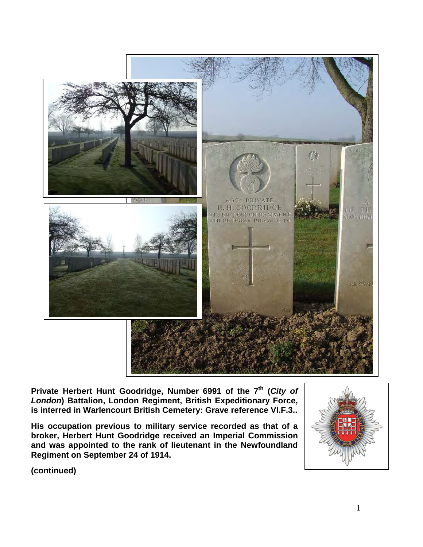

Private Herbert Hunt Goodridge, Number 6991 of the 7<sup>th</sup> (City of *London***) Battalion, London Regiment, British Expeditionary Force, is interred in Warlencourt British Cemetery: Grave reference VI.F.3..** 

**His occupation previous to military service recorded as that of a broker, Herbert Hunt Goodridge received an Imperial Commission and was appointed to the rank of lieutenant in the Newfoundland Regiment on September 24 of 1914.**



**(continued)**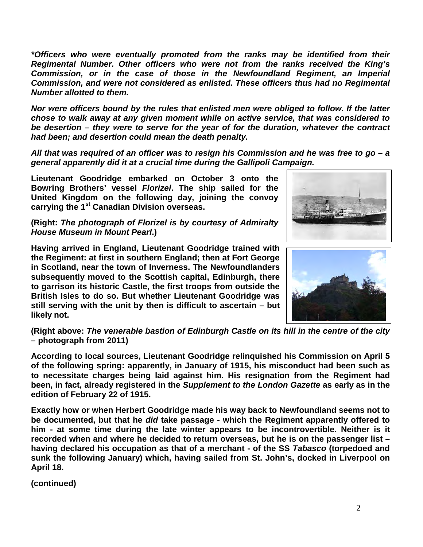*\*Officers who were eventually promoted from the ranks may be identified from their Regimental Number. Other officers who were not from the ranks received the King's Commission, or in the case of those in the Newfoundland Regiment, an Imperial Commission, and were not considered as enlisted. These officers thus had no Regimental Number allotted to them.*

*Nor were officers bound by the rules that enlisted men were obliged to follow. If the latter chose to walk away at any given moment while on active service, that was considered to be desertion – they were to serve for the year of for the duration, whatever the contract had been; and desertion could mean the death penalty.*

*All that was required of an officer was to resign his Commission and he was free to go – a general apparently did it at a crucial time during the Gallipoli Campaign.*

**Lieutenant Goodridge embarked on October 3 onto the Bowring Brothers' vessel** *Florizel***. The ship sailed for the United Kingdom on the following day, joining the convoy carrying the 1st Canadian Division overseas.**

**(Right:** *The photograph of Florizel is by courtesy of Admiralty House Museum in Mount Pearl***.)** 

**Having arrived in England, Lieutenant Goodridge trained with the Regiment: at first in southern England; then at Fort George in Scotland, near the town of Inverness. The Newfoundlanders subsequently moved to the Scottish capital, Edinburgh, there to garrison its historic Castle, the first troops from outside the British Isles to do so. But whether Lieutenant Goodridge was still serving with the unit by then is difficult to ascertain – but likely not.**





**(Right above:** *The venerable bastion of Edinburgh Castle on its hill in the centre of the city* **– photograph from 2011)**

**According to local sources, Lieutenant Goodridge relinquished his Commission on April 5 of the following spring: apparently, in January of 1915, his misconduct had been such as to necessitate charges being laid against him. His resignation from the Regiment had been, in fact, already registered in the** *Supplement to the London Gazette* **as early as in the edition of February 22 of 1915.** 

**Exactly how or when Herbert Goodridge made his way back to Newfoundland seems not to be documented, but that he** *did* **take passage - which the Regiment apparently offered to him - at some time during the late winter appears to be incontrovertible. Neither is it recorded when and where he decided to return overseas, but he is on the passenger list – having declared his occupation as that of a merchant - of the SS** *Tabasco* **(torpedoed and sunk the following January) which, having sailed from St. John's, docked in Liverpool on April 18.**

**(continued)**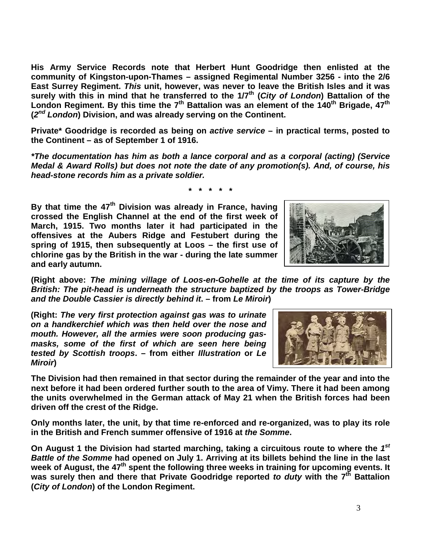**His Army Service Records note that Herbert Hunt Goodridge then enlisted at the community of Kingston-upon-Thames – assigned Regimental Number 3256 - into the 2/6 East Surrey Regiment.** *This* **unit, however, was never to leave the British Isles and it was surely with this in mind that he transferred to the 1/7th (***City of London***) Battalion of the London Regiment. By this time the 7th Battalion was an element of the 140th Brigade, 47th (***2nd London***) Division, and was already serving on the Continent.**

**Private\* Goodridge is recorded as being on** *active service* **– in practical terms, posted to the Continent – as of September 1 of 1916.**

*\*The documentation has him as both a lance corporal and as a corporal (acting) (Service Medal & Award Rolls) but does not note the date of any promotion(s). And, of course, his head-stone records him as a private soldier.*

**\* \* \* \* \***

**By that time the 47th Division was already in France, having crossed the English Channel at the end of the first week of March, 1915. Two months later it had participated in the offensives at the Aubers Ridge and Festubert during the spring of 1915, then subsequently at Loos – the first use of chlorine gas by the British in the war - during the late summer and early autumn.**



**(Right above:** *The mining village of Loos-en-Gohelle at the time of its capture by the British: The pit-head is underneath the structure baptized by the troops as Tower-Bridge and the Double Cassier is directly behind it***. – from** *Le Miroir***)** 

**(Right:** *The very first protection against gas was to urinate on a handkerchief which was then held over the nose and mouth. However, all the armies were soon producing gasmasks, some of the first of which are seen here being tested by Scottish troops***. – from either** *Illustration* **or** *Le Miroir***)** 

**The Division had then remained in that sector during the remainder of the year and into the next before it had been ordered further south to the area of Vimy. There it had been among the units overwhelmed in the German attack of May 21 when the British forces had been driven off the crest of the Ridge.** 

**Only months later, the unit, by that time re-enforced and re-organized, was to play its role in the British and French summer offensive of 1916 at** *the Somme***.** 

**On August 1 the Division had started marching, taking a circuitous route to where the** *1st Battle of the Somme* **had opened on July 1. Arriving at its billets behind the line in the last week of August, the 47th spent the following three weeks in training for upcoming events. It**  was surely then and there that Private Goodridge reported *to duty* with the 7<sup>th</sup> Battalion **(***City of London***) of the London Regiment.**

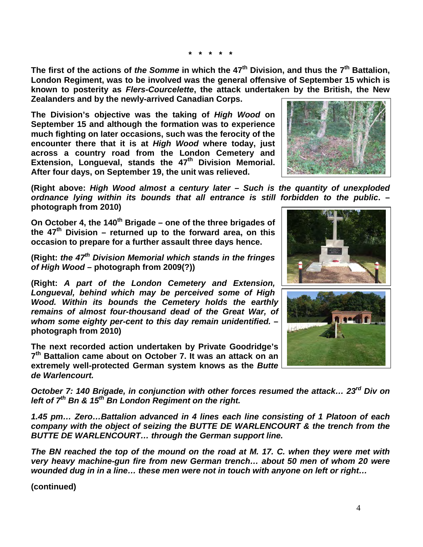**\* \* \* \* \***

**The first of the actions of** *the Somme* **in which the 47th Division, and thus the 7th Battalion, London Regiment, was to be involved was the general offensive of September 15 which is known to posterity as** *Flers-Courcelette***, the attack undertaken by the British, the New Zealanders and by the newly-arrived Canadian Corps.** 

**The Division's objective was the taking of** *High Wood* **on September 15 and although the formation was to experience much fighting on later occasions, such was the ferocity of the encounter there that it is at** *High Wood* **where today, just across a country road from the London Cemetery and**  Extension, Longueval, stands the 47<sup>th</sup> Division Memorial. **After four days, on September 19, the unit was relieved.**



**(Right above:** *High Wood almost a century later – Such is the quantity of unexploded ordnance lying within its bounds that all entrance is still forbidden to the public***. – photograph from 2010)**

**On October 4, the 140th Brigade – one of the three brigades of the 47th Division – returned up to the forward area, on this occasion to prepare for a further assault three days hence.**

**(Right:** *the 47th Division Memorial which stands in the fringes of High Wood* **– photograph from 2009(?))**

**(Right:** *A part of the London Cemetery and Extension, Longueval, behind which may be perceived some of High Wood. Within its bounds the Cemetery holds the earthly remains of almost four-thousand dead of the Great War, of whom some eighty per-cent to this day remain unidentified.* **– photograph from 2010)** 

**The next recorded action undertaken by Private Goodridge's 7th Battalion came about on October 7. It was an attack on an extremely well-protected German system knows as the** *Butte de Warlencourt.*

*October 7: 140 Brigade, in conjunction with other forces resumed the attack… 23rd Div on left of 7th Bn & 15th Bn London Regiment on the right.*

*1.45 pm… Zero…Battalion advanced in 4 lines each line consisting of 1 Platoon of each company with the object of seizing the BUTTE DE WARLENCOURT & the trench from the BUTTE DE WARLENCOURT… through the German support line.*

*The BN reached the top of the mound on the road at M. 17. C. when they were met with very heavy machine-gun fire from new German trench… about 50 men of whom 20 were wounded dug in in a line… these men were not in touch with anyone on left or right…*

**(continued)**